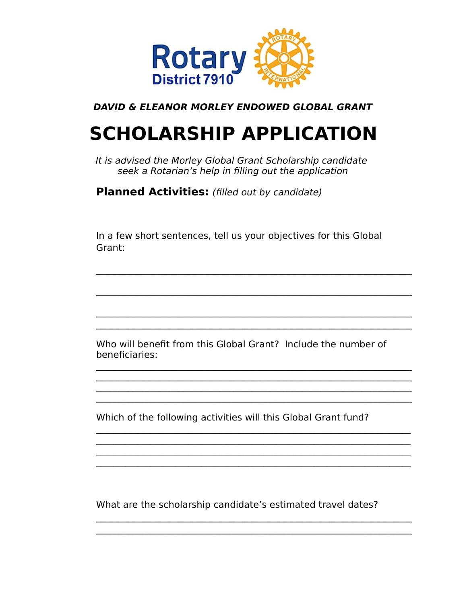

#### DAVID & ELEANOR MORLEY ENDOWED GLOBAL GRANT

# **SCHOLARSHIP APPLICATION**

It is advised the Morley Global Grant Scholarship candidate seek a Rotarian's help in filling out the application

**Planned Activities:** (filled out by candidate)

In a few short sentences, tell us your objectives for this Global Grant:

Who will benefit from this Global Grant? Include the number of beneficiaries:

Which of the following activities will this Global Grant fund?

What are the scholarship candidate's estimated travel dates?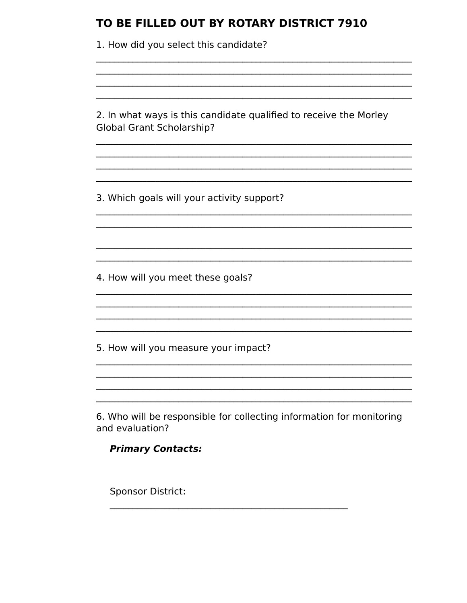| 1. How did you select this candidate?                                                                 |
|-------------------------------------------------------------------------------------------------------|
|                                                                                                       |
|                                                                                                       |
|                                                                                                       |
| 2. In what ways is this candidate qualified to receive the Morley<br><b>Global Grant Scholarship?</b> |
|                                                                                                       |
| 3. Which goals will your activity support?                                                            |
|                                                                                                       |
|                                                                                                       |
|                                                                                                       |
| 4. How will you meet these goals?                                                                     |
|                                                                                                       |
|                                                                                                       |
| 5. How will you measure your impact?                                                                  |
|                                                                                                       |
|                                                                                                       |
| 6. Who will be responsible for collecting information for monitoring<br>and evaluation?               |
| <b>Primary Contacts:</b>                                                                              |
|                                                                                                       |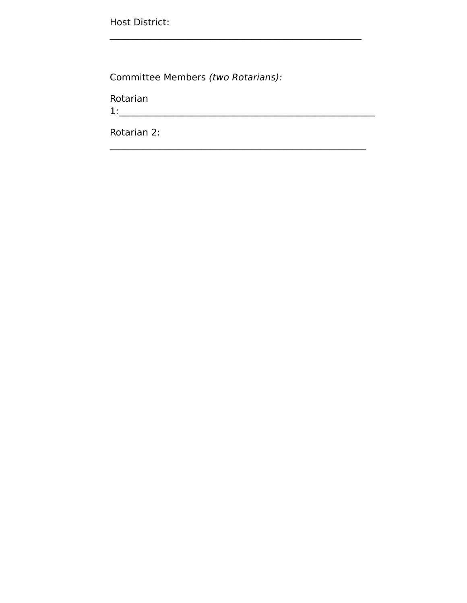Host District:

Committee Members (two Rotarians):

Rotarian

 $\begin{tabular}{|c|c|c|c|} \hline $1:\\ \hline \end{tabular}$ Rotarian 2: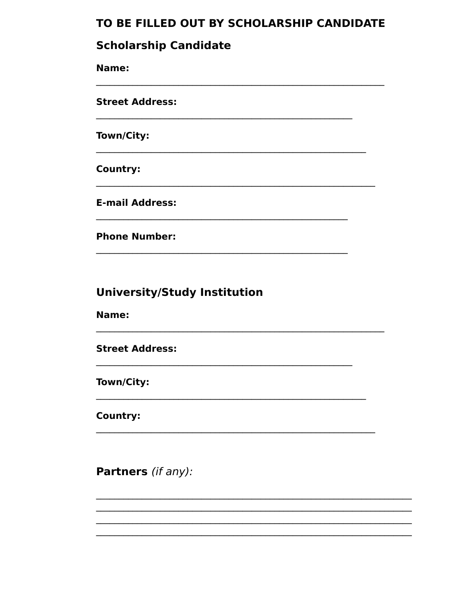### TO BE FILLED OUT BY SCHOLARSHIP CANDIDATE

#### **Scholarship Candidate**

Name: **Street Address:** Town/City: **Country: E-mail Address: Phone Number:** 

### **University/Study Institution**

Name:

**Street Address:** 

Town/City:

**Country:** 

Partners (if any):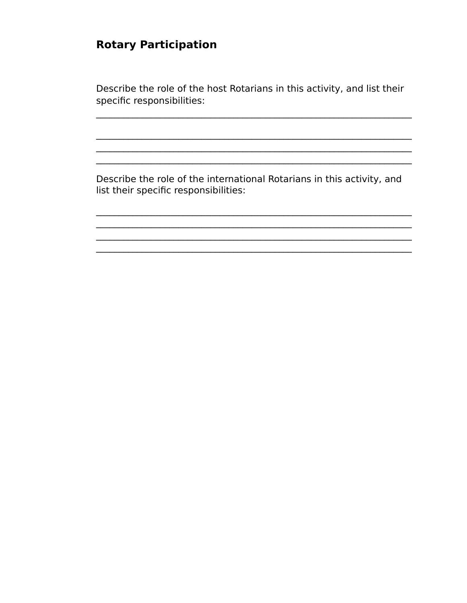# **Rotary Participation**

Describe the role of the host Rotarians in this activity, and list their specific responsibilities:

Describe the role of the international Rotarians in this activity, and list their specific responsibilities: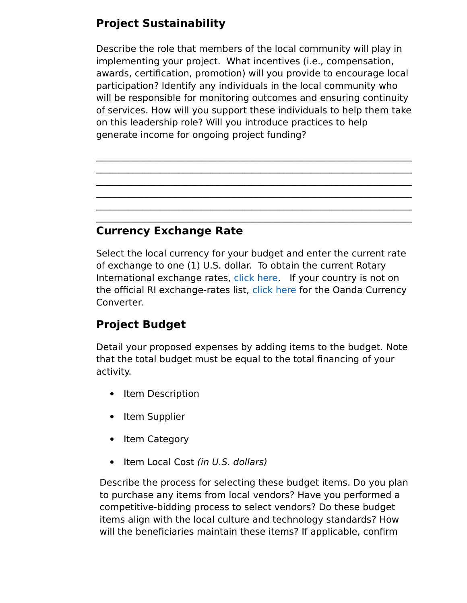# **Project Sustainability**

Describe the role that members of the local community will play in implementing your project. What incentives (i.e., compensation, awards, certification, promotion) will you provide to encourage local participation? Identify any individuals in the local community who will be responsible for monitoring outcomes and ensuring continuity of services. How will you support these individuals to help them take on this leadership role? Will you introduce practices to help generate income for ongoing project funding?

 $\mathcal{L}_\text{max} = \mathcal{L}_\text{max} = \mathcal{L}_\text{max} = \mathcal{L}_\text{max} = \mathcal{L}_\text{max} = \mathcal{L}_\text{max} = \mathcal{L}_\text{max} = \mathcal{L}_\text{max} = \mathcal{L}_\text{max} = \mathcal{L}_\text{max} = \mathcal{L}_\text{max} = \mathcal{L}_\text{max} = \mathcal{L}_\text{max} = \mathcal{L}_\text{max} = \mathcal{L}_\text{max} = \mathcal{L}_\text{max} = \mathcal{L}_\text{max} = \mathcal{L}_\text{max} = \mathcal{$  $\mathcal{L}_\text{max} = \mathcal{L}_\text{max} = \mathcal{L}_\text{max} = \mathcal{L}_\text{max} = \mathcal{L}_\text{max} = \mathcal{L}_\text{max} = \mathcal{L}_\text{max} = \mathcal{L}_\text{max} = \mathcal{L}_\text{max} = \mathcal{L}_\text{max} = \mathcal{L}_\text{max} = \mathcal{L}_\text{max} = \mathcal{L}_\text{max} = \mathcal{L}_\text{max} = \mathcal{L}_\text{max} = \mathcal{L}_\text{max} = \mathcal{L}_\text{max} = \mathcal{L}_\text{max} = \mathcal{$  $\mathcal{L}_\text{max} = \mathcal{L}_\text{max} = \mathcal{L}_\text{max} = \mathcal{L}_\text{max} = \mathcal{L}_\text{max} = \mathcal{L}_\text{max} = \mathcal{L}_\text{max} = \mathcal{L}_\text{max} = \mathcal{L}_\text{max} = \mathcal{L}_\text{max} = \mathcal{L}_\text{max} = \mathcal{L}_\text{max} = \mathcal{L}_\text{max} = \mathcal{L}_\text{max} = \mathcal{L}_\text{max} = \mathcal{L}_\text{max} = \mathcal{L}_\text{max} = \mathcal{L}_\text{max} = \mathcal{$  $\mathcal{L}_\text{max} = \mathcal{L}_\text{max} = \mathcal{L}_\text{max} = \mathcal{L}_\text{max} = \mathcal{L}_\text{max} = \mathcal{L}_\text{max} = \mathcal{L}_\text{max} = \mathcal{L}_\text{max} = \mathcal{L}_\text{max} = \mathcal{L}_\text{max} = \mathcal{L}_\text{max} = \mathcal{L}_\text{max} = \mathcal{L}_\text{max} = \mathcal{L}_\text{max} = \mathcal{L}_\text{max} = \mathcal{L}_\text{max} = \mathcal{L}_\text{max} = \mathcal{L}_\text{max} = \mathcal{$  $\mathcal{L}_\text{max} = \mathcal{L}_\text{max} = \mathcal{L}_\text{max} = \mathcal{L}_\text{max} = \mathcal{L}_\text{max} = \mathcal{L}_\text{max} = \mathcal{L}_\text{max} = \mathcal{L}_\text{max} = \mathcal{L}_\text{max} = \mathcal{L}_\text{max} = \mathcal{L}_\text{max} = \mathcal{L}_\text{max} = \mathcal{L}_\text{max} = \mathcal{L}_\text{max} = \mathcal{L}_\text{max} = \mathcal{L}_\text{max} = \mathcal{L}_\text{max} = \mathcal{L}_\text{max} = \mathcal{$  $\mathcal{L}_\text{max} = \mathcal{L}_\text{max} = \mathcal{L}_\text{max} = \mathcal{L}_\text{max} = \mathcal{L}_\text{max} = \mathcal{L}_\text{max} = \mathcal{L}_\text{max} = \mathcal{L}_\text{max} = \mathcal{L}_\text{max} = \mathcal{L}_\text{max} = \mathcal{L}_\text{max} = \mathcal{L}_\text{max} = \mathcal{L}_\text{max} = \mathcal{L}_\text{max} = \mathcal{L}_\text{max} = \mathcal{L}_\text{max} = \mathcal{L}_\text{max} = \mathcal{L}_\text{max} = \mathcal{$ 

## **Currency Exchange Rate**

Select the local currency for your budget and enter the current rate of exchange to one (1) U.S. dollar. To obtain the current Rotary International exchange rates, [click here.](https://www.rotary.org/myrotary/en/exchange-rates) If your country is not on the official RI exchange-rates list, [click here](https://www.oanda.com/currency/converter/) for the Oanda Currency Converter.

# **Project Budget**

Detail your proposed expenses by adding items to the budget. Note that the total budget must be equal to the total financing of your activity.

- Item Description
- Item Supplier
- Item Category
- Item Local Cost (in U.S. dollars)

Describe the process for selecting these budget items. Do you plan to purchase any items from local vendors? Have you performed a competitive-bidding process to select vendors? Do these budget items align with the local culture and technology standards? How will the beneficiaries maintain these items? If applicable, confirm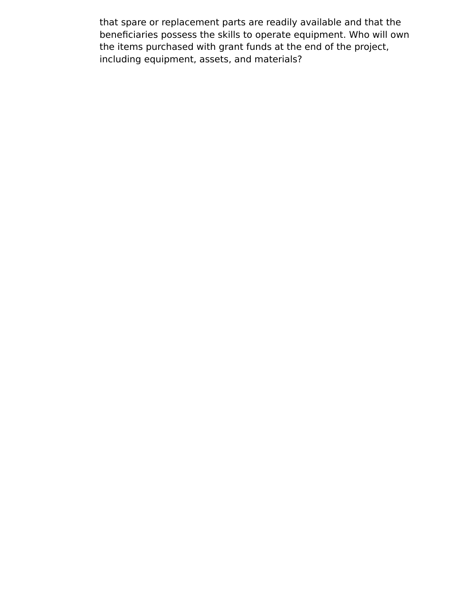that spare or replacement parts are readily available and that the beneficiaries possess the skills to operate equipment. Who will own the items purchased with grant funds at the end of the project, including equipment, assets, and materials?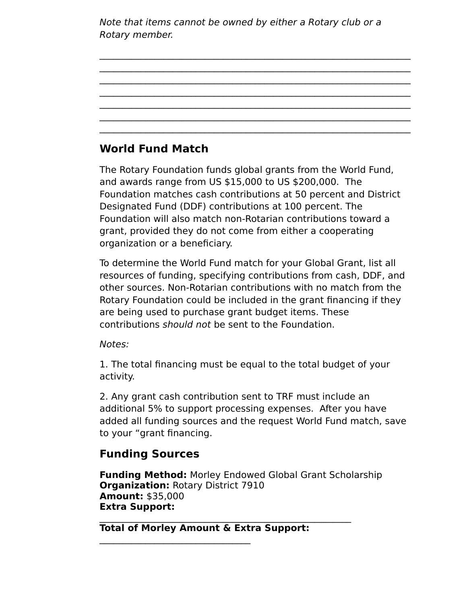Note that items cannot be owned by either a Rotary club or a Rotary member.

 $\mathcal{L}_\text{max} = \mathcal{L}_\text{max} = \mathcal{L}_\text{max} = \mathcal{L}_\text{max} = \mathcal{L}_\text{max} = \mathcal{L}_\text{max} = \mathcal{L}_\text{max} = \mathcal{L}_\text{max} = \mathcal{L}_\text{max} = \mathcal{L}_\text{max} = \mathcal{L}_\text{max} = \mathcal{L}_\text{max} = \mathcal{L}_\text{max} = \mathcal{L}_\text{max} = \mathcal{L}_\text{max} = \mathcal{L}_\text{max} = \mathcal{L}_\text{max} = \mathcal{L}_\text{max} = \mathcal{$  $\mathcal{L}_\text{max} = \mathcal{L}_\text{max} = \mathcal{L}_\text{max} = \mathcal{L}_\text{max} = \mathcal{L}_\text{max} = \mathcal{L}_\text{max} = \mathcal{L}_\text{max} = \mathcal{L}_\text{max} = \mathcal{L}_\text{max} = \mathcal{L}_\text{max} = \mathcal{L}_\text{max} = \mathcal{L}_\text{max} = \mathcal{L}_\text{max} = \mathcal{L}_\text{max} = \mathcal{L}_\text{max} = \mathcal{L}_\text{max} = \mathcal{L}_\text{max} = \mathcal{L}_\text{max} = \mathcal{$  $\mathcal{L}_\text{max} = \mathcal{L}_\text{max} = \mathcal{L}_\text{max} = \mathcal{L}_\text{max} = \mathcal{L}_\text{max} = \mathcal{L}_\text{max} = \mathcal{L}_\text{max} = \mathcal{L}_\text{max} = \mathcal{L}_\text{max} = \mathcal{L}_\text{max} = \mathcal{L}_\text{max} = \mathcal{L}_\text{max} = \mathcal{L}_\text{max} = \mathcal{L}_\text{max} = \mathcal{L}_\text{max} = \mathcal{L}_\text{max} = \mathcal{L}_\text{max} = \mathcal{L}_\text{max} = \mathcal{$  $\mathcal{L}_\text{max} = \mathcal{L}_\text{max} = \mathcal{L}_\text{max} = \mathcal{L}_\text{max} = \mathcal{L}_\text{max} = \mathcal{L}_\text{max} = \mathcal{L}_\text{max} = \mathcal{L}_\text{max} = \mathcal{L}_\text{max} = \mathcal{L}_\text{max} = \mathcal{L}_\text{max} = \mathcal{L}_\text{max} = \mathcal{L}_\text{max} = \mathcal{L}_\text{max} = \mathcal{L}_\text{max} = \mathcal{L}_\text{max} = \mathcal{L}_\text{max} = \mathcal{L}_\text{max} = \mathcal{$  $\mathcal{L}_\text{max} = \mathcal{L}_\text{max} = \mathcal{L}_\text{max} = \mathcal{L}_\text{max} = \mathcal{L}_\text{max} = \mathcal{L}_\text{max} = \mathcal{L}_\text{max} = \mathcal{L}_\text{max} = \mathcal{L}_\text{max} = \mathcal{L}_\text{max} = \mathcal{L}_\text{max} = \mathcal{L}_\text{max} = \mathcal{L}_\text{max} = \mathcal{L}_\text{max} = \mathcal{L}_\text{max} = \mathcal{L}_\text{max} = \mathcal{L}_\text{max} = \mathcal{L}_\text{max} = \mathcal{$  $\mathcal{L}_\text{max} = \mathcal{L}_\text{max} = \mathcal{L}_\text{max} = \mathcal{L}_\text{max} = \mathcal{L}_\text{max} = \mathcal{L}_\text{max} = \mathcal{L}_\text{max} = \mathcal{L}_\text{max} = \mathcal{L}_\text{max} = \mathcal{L}_\text{max} = \mathcal{L}_\text{max} = \mathcal{L}_\text{max} = \mathcal{L}_\text{max} = \mathcal{L}_\text{max} = \mathcal{L}_\text{max} = \mathcal{L}_\text{max} = \mathcal{L}_\text{max} = \mathcal{L}_\text{max} = \mathcal{$  $\mathcal{L}_\text{max} = \mathcal{L}_\text{max} = \mathcal{L}_\text{max} = \mathcal{L}_\text{max} = \mathcal{L}_\text{max} = \mathcal{L}_\text{max} = \mathcal{L}_\text{max} = \mathcal{L}_\text{max} = \mathcal{L}_\text{max} = \mathcal{L}_\text{max} = \mathcal{L}_\text{max} = \mathcal{L}_\text{max} = \mathcal{L}_\text{max} = \mathcal{L}_\text{max} = \mathcal{L}_\text{max} = \mathcal{L}_\text{max} = \mathcal{L}_\text{max} = \mathcal{L}_\text{max} = \mathcal{$ 

## **World Fund Match**

The Rotary Foundation funds global grants from the World Fund, and awards range from US \$15,000 to US \$200,000. The Foundation matches cash contributions at 50 percent and District Designated Fund (DDF) contributions at 100 percent. The Foundation will also match non-Rotarian contributions toward a grant, provided they do not come from either a cooperating organization or a beneficiary.

To determine the World Fund match for your Global Grant, list all resources of funding, specifying contributions from cash, DDF, and other sources. Non-Rotarian contributions with no match from the Rotary Foundation could be included in the grant financing if they are being used to purchase grant budget items. These contributions should not be sent to the Foundation.

Notes:

1. The total financing must be equal to the total budget of your activity.

2. Any grant cash contribution sent to TRF must include an additional 5% to support processing expenses. After you have added all funding sources and the request World Fund match, save to your "grant financing.

### **Funding Sources**

**Funding Method:** Morley Endowed Global Grant Scholarship **Organization:** Rotary District 7910 **Amount:** \$35,000 **Extra Support:**

 $\mathcal{L}_\text{max} = \mathcal{L}_\text{max} = \mathcal{L}_\text{max} = \mathcal{L}_\text{max} = \mathcal{L}_\text{max} = \mathcal{L}_\text{max} = \mathcal{L}_\text{max} = \mathcal{L}_\text{max} = \mathcal{L}_\text{max} = \mathcal{L}_\text{max} = \mathcal{L}_\text{max} = \mathcal{L}_\text{max} = \mathcal{L}_\text{max} = \mathcal{L}_\text{max} = \mathcal{L}_\text{max} = \mathcal{L}_\text{max} = \mathcal{L}_\text{max} = \mathcal{L}_\text{max} = \mathcal{$ **Total of Morley Amount & Extra Support:**

 $\mathcal{L}_\text{max}$  and  $\mathcal{L}_\text{max}$  and  $\mathcal{L}_\text{max}$  and  $\mathcal{L}_\text{max}$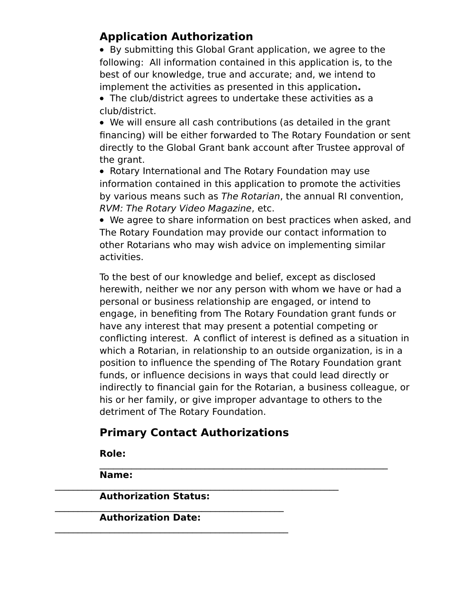# **Application Authorization**

 By submitting this Global Grant application, we agree to the following: All information contained in this application is, to the best of our knowledge, true and accurate; and, we intend to implement the activities as presented in this application**.**

 The club/district agrees to undertake these activities as a club/district.

 We will ensure all cash contributions (as detailed in the grant financing) will be either forwarded to The Rotary Foundation or sent directly to the Global Grant bank account after Trustee approval of the grant.

• Rotary International and The Rotary Foundation may use information contained in this application to promote the activities by various means such as The Rotarian, the annual RI convention, RVM: The Rotary Video Magazine, etc.

 We agree to share information on best practices when asked, and The Rotary Foundation may provide our contact information to other Rotarians who may wish advice on implementing similar activities.

To the best of our knowledge and belief, except as disclosed herewith, neither we nor any person with whom we have or had a personal or business relationship are engaged, or intend to engage, in benefiting from The Rotary Foundation grant funds or have any interest that may present a potential competing or conflicting interest. A conflict of interest is defined as a situation in which a Rotarian, in relationship to an outside organization, is in a position to influence the spending of The Rotary Foundation grant funds, or influence decisions in ways that could lead directly or indirectly to financial gain for the Rotarian, a business colleague, or his or her family, or give improper advantage to others to the detriment of The Rotary Foundation.

# **Primary Contact Authorizations**

**Role:**

 $\mathcal{L}_\text{max} = \mathcal{L}_\text{max} = \mathcal{L}_\text{max} = \mathcal{L}_\text{max} = \mathcal{L}_\text{max} = \mathcal{L}_\text{max} = \mathcal{L}_\text{max} = \mathcal{L}_\text{max} = \mathcal{L}_\text{max} = \mathcal{L}_\text{max} = \mathcal{L}_\text{max} = \mathcal{L}_\text{max} = \mathcal{L}_\text{max} = \mathcal{L}_\text{max} = \mathcal{L}_\text{max} = \mathcal{L}_\text{max} = \mathcal{L}_\text{max} = \mathcal{L}_\text{max} = \mathcal{$ **Name:**

 $\mathcal{L}_\text{max} = \mathcal{L}_\text{max} = \mathcal{L}_\text{max} = \mathcal{L}_\text{max} = \mathcal{L}_\text{max} = \mathcal{L}_\text{max} = \mathcal{L}_\text{max} = \mathcal{L}_\text{max} = \mathcal{L}_\text{max} = \mathcal{L}_\text{max} = \mathcal{L}_\text{max} = \mathcal{L}_\text{max} = \mathcal{L}_\text{max} = \mathcal{L}_\text{max} = \mathcal{L}_\text{max} = \mathcal{L}_\text{max} = \mathcal{L}_\text{max} = \mathcal{L}_\text{max} = \mathcal{$ **Authorization Status:**

 $\mathcal{L}_\text{max} = \mathcal{L}_\text{max} = \mathcal{L}_\text{max} = \mathcal{L}_\text{max} = \mathcal{L}_\text{max} = \mathcal{L}_\text{max} = \mathcal{L}_\text{max} = \mathcal{L}_\text{max} = \mathcal{L}_\text{max} = \mathcal{L}_\text{max} = \mathcal{L}_\text{max} = \mathcal{L}_\text{max} = \mathcal{L}_\text{max} = \mathcal{L}_\text{max} = \mathcal{L}_\text{max} = \mathcal{L}_\text{max} = \mathcal{L}_\text{max} = \mathcal{L}_\text{max} = \mathcal{$ **Authorization Date:**

 $\mathcal{L}_\text{max} = \mathcal{L}_\text{max} = \mathcal{L}_\text{max} = \mathcal{L}_\text{max} = \mathcal{L}_\text{max} = \mathcal{L}_\text{max} = \mathcal{L}_\text{max} = \mathcal{L}_\text{max} = \mathcal{L}_\text{max} = \mathcal{L}_\text{max} = \mathcal{L}_\text{max} = \mathcal{L}_\text{max} = \mathcal{L}_\text{max} = \mathcal{L}_\text{max} = \mathcal{L}_\text{max} = \mathcal{L}_\text{max} = \mathcal{L}_\text{max} = \mathcal{L}_\text{max} = \mathcal{$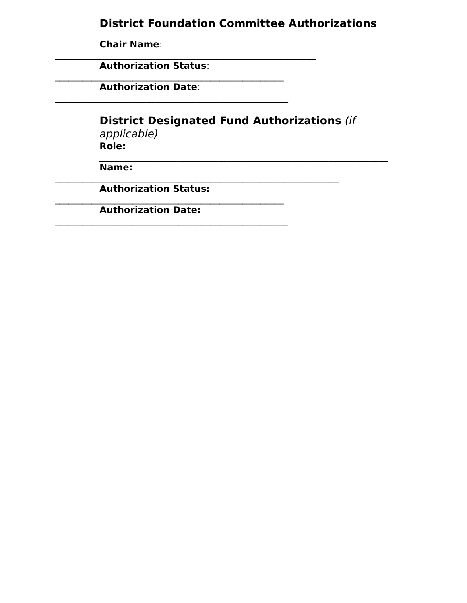#### **District Foundation Committee Authorizations**

**Chair Name**:

**Authorization Status**:

 $\mathcal{L}_\text{max} = \mathcal{L}_\text{max} = \mathcal{L}_\text{max} = \mathcal{L}_\text{max} = \mathcal{L}_\text{max} = \mathcal{L}_\text{max} = \mathcal{L}_\text{max} = \mathcal{L}_\text{max} = \mathcal{L}_\text{max} = \mathcal{L}_\text{max} = \mathcal{L}_\text{max} = \mathcal{L}_\text{max} = \mathcal{L}_\text{max} = \mathcal{L}_\text{max} = \mathcal{L}_\text{max} = \mathcal{L}_\text{max} = \mathcal{L}_\text{max} = \mathcal{L}_\text{max} = \mathcal{$ 

 $\mathcal{L}_\text{max} = \mathcal{L}_\text{max} = \mathcal{L}_\text{max} = \mathcal{L}_\text{max} = \mathcal{L}_\text{max} = \mathcal{L}_\text{max} = \mathcal{L}_\text{max} = \mathcal{L}_\text{max} = \mathcal{L}_\text{max} = \mathcal{L}_\text{max} = \mathcal{L}_\text{max} = \mathcal{L}_\text{max} = \mathcal{L}_\text{max} = \mathcal{L}_\text{max} = \mathcal{L}_\text{max} = \mathcal{L}_\text{max} = \mathcal{L}_\text{max} = \mathcal{L}_\text{max} = \mathcal{$ 

 $\mathcal{L}_\text{max} = \mathcal{L}_\text{max} = \mathcal{L}_\text{max} = \mathcal{L}_\text{max} = \mathcal{L}_\text{max} = \mathcal{L}_\text{max} = \mathcal{L}_\text{max} = \mathcal{L}_\text{max} = \mathcal{L}_\text{max} = \mathcal{L}_\text{max} = \mathcal{L}_\text{max} = \mathcal{L}_\text{max} = \mathcal{L}_\text{max} = \mathcal{L}_\text{max} = \mathcal{L}_\text{max} = \mathcal{L}_\text{max} = \mathcal{L}_\text{max} = \mathcal{L}_\text{max} = \mathcal{$ **Authorization Date**:

**District Designated Fund Authorizations** (if

applicable) **Role:**

 $\mathcal{L}_\text{max} = \mathcal{L}_\text{max} = \mathcal{L}_\text{max} = \mathcal{L}_\text{max} = \mathcal{L}_\text{max} = \mathcal{L}_\text{max} = \mathcal{L}_\text{max} = \mathcal{L}_\text{max} = \mathcal{L}_\text{max} = \mathcal{L}_\text{max} = \mathcal{L}_\text{max} = \mathcal{L}_\text{max} = \mathcal{L}_\text{max} = \mathcal{L}_\text{max} = \mathcal{L}_\text{max} = \mathcal{L}_\text{max} = \mathcal{L}_\text{max} = \mathcal{L}_\text{max} = \mathcal{$ **Name:**

 $\mathcal{L}_\text{max} = \mathcal{L}_\text{max} = \mathcal{L}_\text{max} = \mathcal{L}_\text{max} = \mathcal{L}_\text{max} = \mathcal{L}_\text{max} = \mathcal{L}_\text{max} = \mathcal{L}_\text{max} = \mathcal{L}_\text{max} = \mathcal{L}_\text{max} = \mathcal{L}_\text{max} = \mathcal{L}_\text{max} = \mathcal{L}_\text{max} = \mathcal{L}_\text{max} = \mathcal{L}_\text{max} = \mathcal{L}_\text{max} = \mathcal{L}_\text{max} = \mathcal{L}_\text{max} = \mathcal{$ **Authorization Status:**

 $\mathcal{L}_\text{max} = \mathcal{L}_\text{max} = \mathcal{L}_\text{max} = \mathcal{L}_\text{max} = \mathcal{L}_\text{max} = \mathcal{L}_\text{max} = \mathcal{L}_\text{max} = \mathcal{L}_\text{max} = \mathcal{L}_\text{max} = \mathcal{L}_\text{max} = \mathcal{L}_\text{max} = \mathcal{L}_\text{max} = \mathcal{L}_\text{max} = \mathcal{L}_\text{max} = \mathcal{L}_\text{max} = \mathcal{L}_\text{max} = \mathcal{L}_\text{max} = \mathcal{L}_\text{max} = \mathcal{$ 

 $\mathcal{L}_\text{max} = \mathcal{L}_\text{max} = \mathcal{L}_\text{max} = \mathcal{L}_\text{max} = \mathcal{L}_\text{max} = \mathcal{L}_\text{max} = \mathcal{L}_\text{max} = \mathcal{L}_\text{max} = \mathcal{L}_\text{max} = \mathcal{L}_\text{max} = \mathcal{L}_\text{max} = \mathcal{L}_\text{max} = \mathcal{L}_\text{max} = \mathcal{L}_\text{max} = \mathcal{L}_\text{max} = \mathcal{L}_\text{max} = \mathcal{L}_\text{max} = \mathcal{L}_\text{max} = \mathcal{$ **Authorization Date:**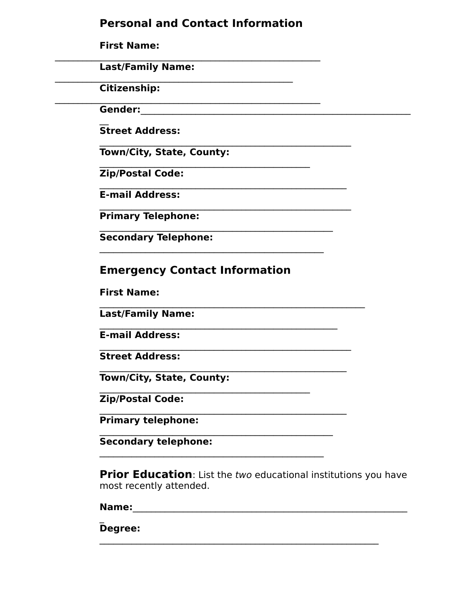#### **Personal and Contact Information**

**First Name:** 

**Last/Family Name:** 

**Citizenship:** 

Gender:

**Street Address:** 

**Town/City, State, County:** 

**Zip/Postal Code:** 

**E-mail Address:** 

**Primary Telephone:** 

**Secondary Telephone:** 

## **Emergency Contact Information**

**First Name:** 

**Last/Family Name:** 

**E-mail Address:** 

**Street Address:** 

**Town/City, State, County:** 

**Zip/Postal Code:** 

**Primary telephone:** 

**Secondary telephone:** 

**Prior Education:** List the two educational institutions you have most recently attended.

Name: We have a state of the state of the state of the state of the state of the state of the state of the state of the state of the state of the state of the state of the state of the state of the state of the state of th

Degree: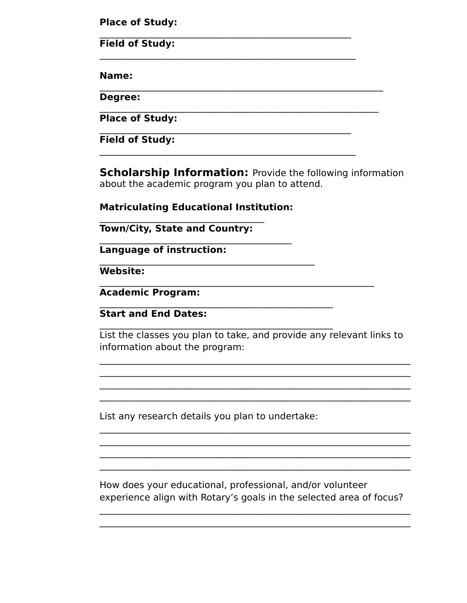**Place of Study:** 

**Field of Study:** 

Name:

**Degree:** 

**Place of Study:** 

**Field of Study:** 

**Scholarship Information: Provide the following information** about the academic program you plan to attend.

**Matriculating Educational Institution:** 

**Town/City, State and Country:** 

Language of instruction:

Website:

**Academic Program:** 

**Start and End Dates:** 

List the classes you plan to take, and provide any relevant links to information about the program:

List any research details you plan to undertake:

How does your educational, professional, and/or volunteer experience align with Rotary's goals in the selected area of focus?